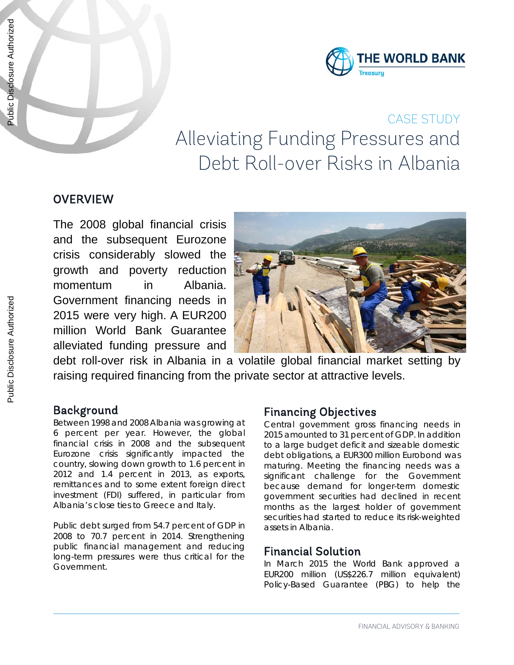

# CASE STUDY Alleviating Funding Pressures and Debt Roll-over Risks in Albania

## **OVERVIEW**

The 2008 global financial crisis and the subsequent Eurozone crisis considerably slowed the growth and poverty reduction momentum in Albania. Government financing needs in 2015 were very high. A EUR200 million World Bank Guarantee alleviated funding pressure and



debt roll-over risk in Albania in a volatile global financial market setting by raising required financing from the private sector at attractive levels.

### Background

Between 1998 and 2008 Albania was growing at 6 percent per year. However, the global financial crisis in 2008 and the subsequent Eurozone crisis significantly impacted the country, slowing down growth to 1.6 percent in 2012 and 1.4 percent in 2013, as exports, remittances and to some extent foreign direct investment (FDI) suffered, in particular from Albania's close ties to Greece and Italy.

Public debt surged from 54.7 percent of GDP in 2008 to 70.7 percent in 2014. Strengthening public financial management and reducing long-term pressures were thus critical for the Government.

### Financing Objectives

Central government gross financing needs in 2015 amounted to 31 percent of GDP. In addition to a large budget deficit and sizeable domestic debt obligations, a EUR300 million Eurobond was maturing. Meeting the financing needs was a significant challenge for the Government because demand for longer-term domestic government securities had declined in recent months as the largest holder of government securities had started to reduce its risk-weighted assets in Albania.

#### Financial Solution

In March 2015 the World Bank approved a EUR200 million (US\$226.7 million equivalent) Policy-Based Guarantee (PBG) to help the